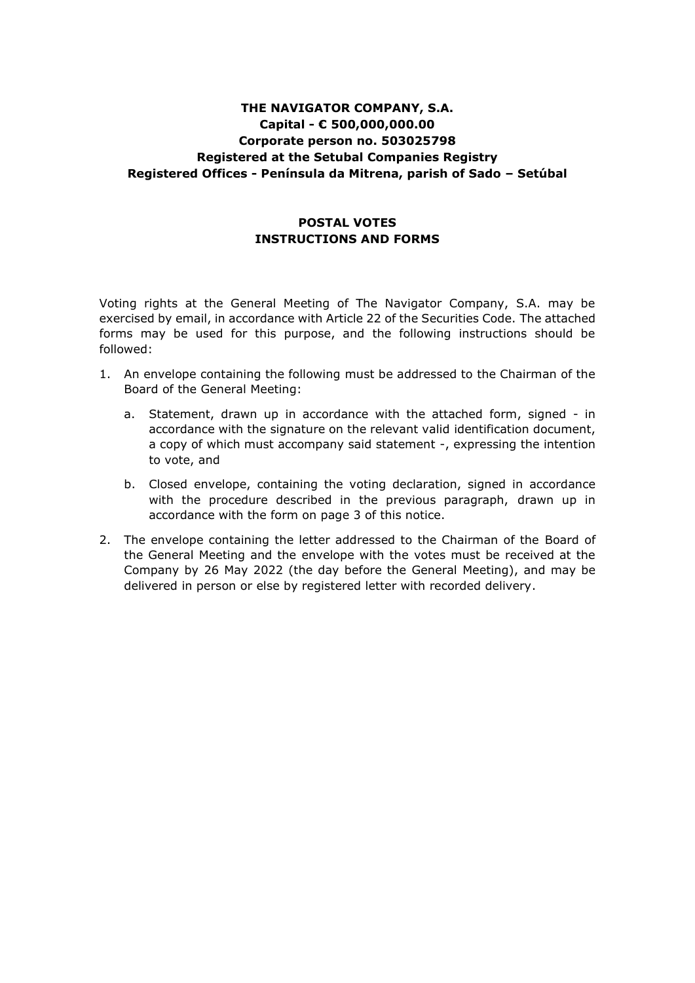# **THE NAVIGATOR COMPANY, S.A. Capital - € 500,000,000.00 Corporate person no. 503025798 Registered at the Setubal Companies Registry Registered Offices - Península da Mitrena, parish of Sado – Setúbal**

## **POSTAL VOTES INSTRUCTIONS AND FORMS**

Voting rights at the General Meeting of The Navigator Company, S.A. may be exercised by email, in accordance with Article 22 of the Securities Code. The attached forms may be used for this purpose, and the following instructions should be followed:

- 1. An envelope containing the following must be addressed to the Chairman of the Board of the General Meeting:
	- a. Statement, drawn up in accordance with the attached form, signed in accordance with the signature on the relevant valid identification document, a copy of which must accompany said statement -, expressing the intention to vote, and
	- b. Closed envelope, containing the voting declaration, signed in accordance with the procedure described in the previous paragraph, drawn up in accordance with the form on page 3 of this notice.
- 2. The envelope containing the letter addressed to the Chairman of the Board of the General Meeting and the envelope with the votes must be received at the Company by 26 May 2022 (the day before the General Meeting), and may be delivered in person or else by registered letter with recorded delivery.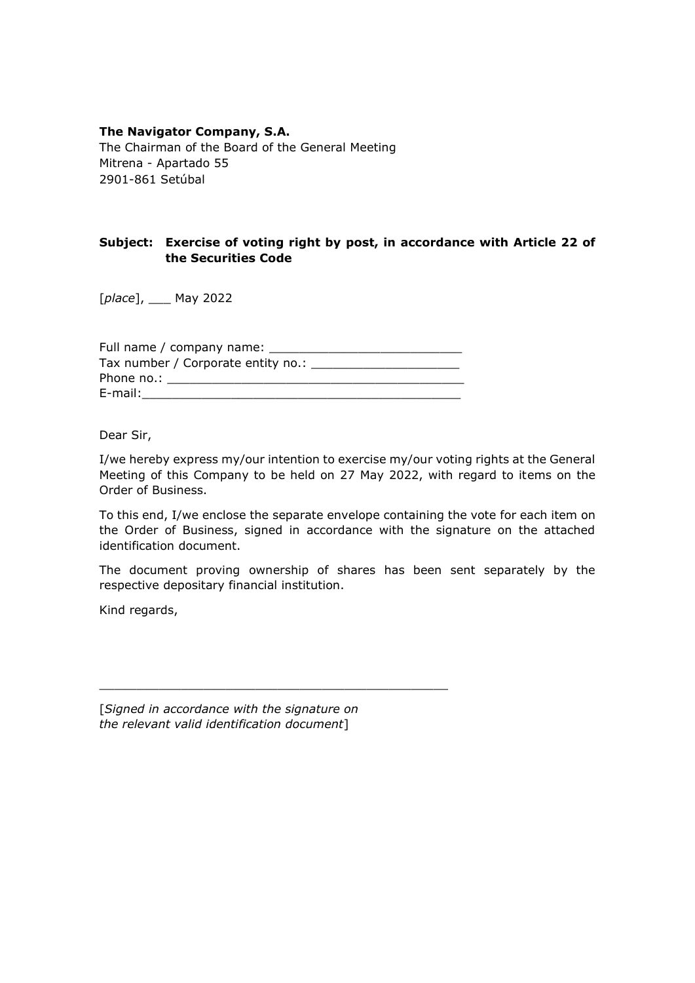## **The Navigator Company, S.A.**

The Chairman of the Board of the General Meeting Mitrena - Apartado 55 2901-861 Setúbal

## **Subject: Exercise of voting right by post, in accordance with Article 22 of the Securities Code**

[*place*], \_\_\_ May 2022

| Full name / company name: _____    |  |  |  |  |
|------------------------------------|--|--|--|--|
| Tax number / Corporate entity no.: |  |  |  |  |
| Phone no.:                         |  |  |  |  |
| E-mail:                            |  |  |  |  |

Dear Sir,

I/we hereby express my/our intention to exercise my/our voting rights at the General Meeting of this Company to be held on 27 May 2022, with regard to items on the Order of Business.

To this end, I/we enclose the separate envelope containing the vote for each item on the Order of Business, signed in accordance with the signature on the attached identification document.

The document proving ownership of shares has been sent separately by the respective depositary financial institution.

Kind regards,

[*Signed in accordance with the signature on the relevant valid identification document*]

\_\_\_\_\_\_\_\_\_\_\_\_\_\_\_\_\_\_\_\_\_\_\_\_\_\_\_\_\_\_\_\_\_\_\_\_\_\_\_\_\_\_\_\_\_\_\_